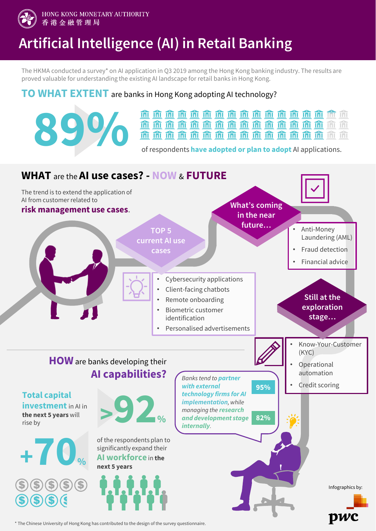

HONG KONG MONETARY AUTHORITY 香港金融管理局

## **Artificial Intelligence (AI) in Retail Banking**

The HKMA conducted a survey\* on AI application in Q3 2019 among the Hong Kong banking industry. The results are proved valuable for understanding the existing AI landscape for retail banks in Hong Kong.

## **TO WHAT EXTENT** are banks in Hong Kong adopting AI technology?



\* The Chinese University of Hong Kong has contributed to the design of the survey questionnaire.